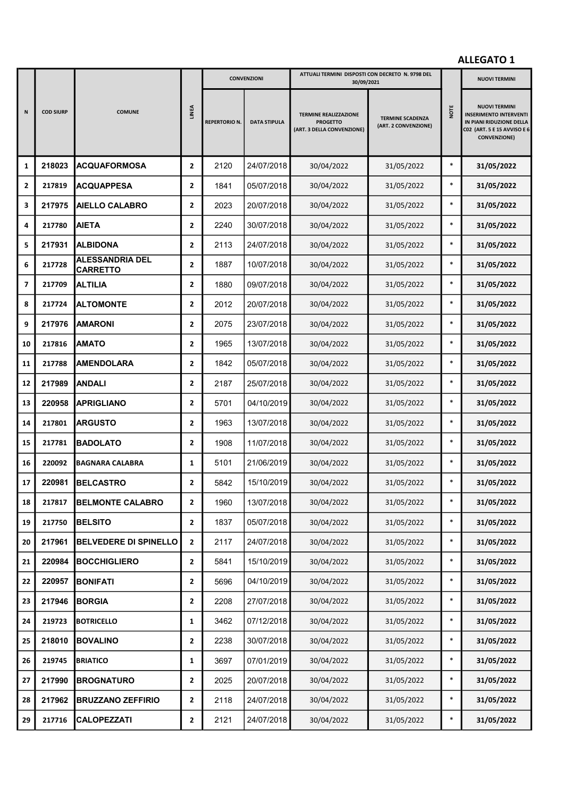|              |                  |                                           |                         |                      | <b>CONVENZIONI</b>  | ATTUALI TERMINI DISPOSTI CON DECRETO N. 9798 DEL<br>30/09/2021                |                                                 |        | <b>NUOVI TERMINI</b>                                                                                                                    |
|--------------|------------------|-------------------------------------------|-------------------------|----------------------|---------------------|-------------------------------------------------------------------------------|-------------------------------------------------|--------|-----------------------------------------------------------------------------------------------------------------------------------------|
| N            | <b>COD SIURP</b> | <b>COMUNE</b>                             | <b>LINEA</b>            | <b>REPERTORIO N.</b> | <b>DATA STIPULA</b> | <b>TERMINE REALIZZAZIONE</b><br><b>PROGETTO</b><br>(ART. 3 DELLA CONVENZIONE) | <b>TERMINE SCADENZA</b><br>(ART. 2 CONVENZIONE) | NOTE   | <b>NUOVI TERMINI</b><br><b>INSERIMENTO INTERVENTI</b><br>IN PIANI RIDUZIONE DELLA<br>C02 (ART. 5 E 15 AVVISO E 6<br><b>CONVENZIONE)</b> |
| 1            | 218023           | ACQUAFORMOSA                              | $\overline{2}$          | 2120                 | 24/07/2018          | 30/04/2022                                                                    | 31/05/2022                                      | $\ast$ | 31/05/2022                                                                                                                              |
| $\mathbf{2}$ | 217819           | <b>ACQUAPPESA</b>                         | $\mathbf{2}$            | 1841                 | 05/07/2018          | 30/04/2022                                                                    | 31/05/2022                                      | $\ast$ | 31/05/2022                                                                                                                              |
| 3            | 217975           | <b>AIELLO CALABRO</b>                     | $\overline{2}$          | 2023                 | 20/07/2018          | 30/04/2022                                                                    | 31/05/2022                                      | $\ast$ | 31/05/2022                                                                                                                              |
| 4            | 217780           | <b>AIETA</b>                              | $\mathbf{2}$            | 2240                 | 30/07/2018          | 30/04/2022                                                                    | 31/05/2022                                      | $\ast$ | 31/05/2022                                                                                                                              |
| 5            | 217931           | <b>ALBIDONA</b>                           | $\mathbf{2}$            | 2113                 | 24/07/2018          | 30/04/2022                                                                    | 31/05/2022                                      | $\ast$ | 31/05/2022                                                                                                                              |
| 6            | 217728           | <b>ALESSANDRIA DEL</b><br><b>CARRETTO</b> | $\overline{2}$          | 1887                 | 10/07/2018          | 30/04/2022                                                                    | 31/05/2022                                      | $\ast$ | 31/05/2022                                                                                                                              |
| 7            | 217709           | <b>ALTILIA</b>                            | $\overline{2}$          | 1880                 | 09/07/2018          | 30/04/2022                                                                    | 31/05/2022                                      | $\ast$ | 31/05/2022                                                                                                                              |
| 8            | 217724           | <b>ALTOMONTE</b>                          | $\overline{2}$          | 2012                 | 20/07/2018          | 30/04/2022                                                                    | 31/05/2022                                      | $\ast$ | 31/05/2022                                                                                                                              |
| 9            | 217976           | <b>AMARONI</b>                            | $\overline{2}$          | 2075                 | 23/07/2018          | 30/04/2022                                                                    | 31/05/2022                                      | $\ast$ | 31/05/2022                                                                                                                              |
| 10           | 217816           | <b>AMATO</b>                              | $\overline{2}$          | 1965                 | 13/07/2018          | 30/04/2022                                                                    | 31/05/2022                                      | $\ast$ | 31/05/2022                                                                                                                              |
| ${\bf 11}$   | 217788           | <b>AMENDOLARA</b>                         | $\overline{2}$          | 1842                 | 05/07/2018          | 30/04/2022                                                                    | 31/05/2022                                      | $\ast$ | 31/05/2022                                                                                                                              |
| 12           | 217989           | ANDALI                                    | $\overline{2}$          | 2187                 | 25/07/2018          | 30/04/2022                                                                    | 31/05/2022                                      | $\ast$ | 31/05/2022                                                                                                                              |
| 13           | 220958           | <b>APRIGLIANO</b>                         | $\overline{2}$          | 5701                 | 04/10/2019          | 30/04/2022                                                                    | 31/05/2022                                      | $\ast$ | 31/05/2022                                                                                                                              |
| 14           | 217801           | <b>ARGUSTO</b>                            | $\overline{2}$          | 1963                 | 13/07/2018          | 30/04/2022                                                                    | 31/05/2022                                      | $\ast$ | 31/05/2022                                                                                                                              |
| 15           | 217781           | <b>BADOLATO</b>                           | $\overline{2}$          | 1908                 | 11/07/2018          | 30/04/2022                                                                    | 31/05/2022                                      | $\ast$ | 31/05/2022                                                                                                                              |
| 16           | 220092           | <b>BAGNARA CALABRA</b>                    | $\mathbf{1}$            | 5101                 | 21/06/2019          | 30/04/2022                                                                    | 31/05/2022                                      | $\ast$ | 31/05/2022                                                                                                                              |
| 17           | 220981           | <b>BELCASTRO</b>                          | $\overline{2}$          | 5842                 | 15/10/2019          | 30/04/2022                                                                    | 31/05/2022                                      | $\ast$ | 31/05/2022                                                                                                                              |
| 18           | 217817           | <b>BELMONTE CALABRO</b>                   | $\overline{\mathbf{2}}$ | 1960                 | 13/07/2018          | 30/04/2022                                                                    | 31/05/2022                                      | $\ast$ | 31/05/2022                                                                                                                              |
| 19           | 217750           | <b>BELSITO</b>                            | $\mathbf{2}$            | 1837                 | 05/07/2018          | 30/04/2022                                                                    | 31/05/2022                                      | $\ast$ | 31/05/2022                                                                                                                              |
| 20           | 217961           | <b>BELVEDERE DI SPINELLO</b>              | $\mathbf{2}$            | 2117                 | 24/07/2018          | 30/04/2022                                                                    | 31/05/2022                                      | $\ast$ | 31/05/2022                                                                                                                              |
| 21           | 220984           | <b>BOCCHIGLIERO</b>                       | $\mathbf{2}$            | 5841                 | 15/10/2019          | 30/04/2022                                                                    | 31/05/2022                                      | $\ast$ | 31/05/2022                                                                                                                              |
| 22           | 220957           | <b>BONIFATI</b>                           | $\mathbf{2}$            | 5696                 | 04/10/2019          | 30/04/2022                                                                    | 31/05/2022                                      | $\ast$ | 31/05/2022                                                                                                                              |
| 23           | 217946           | <b>BORGIA</b>                             | $\overline{2}$          | 2208                 | 27/07/2018          | 30/04/2022                                                                    | 31/05/2022                                      | $\ast$ | 31/05/2022                                                                                                                              |
| 24           | 219723           | <b>BOTRICELLO</b>                         | 1                       | 3462                 | 07/12/2018          | 30/04/2022                                                                    | 31/05/2022                                      | $\ast$ | 31/05/2022                                                                                                                              |
| 25           | 218010           | <b>BOVALINO</b>                           | $\overline{2}$          | 2238                 | 30/07/2018          | 30/04/2022                                                                    | 31/05/2022                                      | $\ast$ | 31/05/2022                                                                                                                              |
| 26           | 219745           | <b>BRIATICO</b>                           | 1                       | 3697                 | 07/01/2019          | 30/04/2022                                                                    | 31/05/2022                                      | $\ast$ | 31/05/2022                                                                                                                              |
| 27           | 217990           | <b>BROGNATURO</b>                         | $\mathbf{2}$            | 2025                 | 20/07/2018          | 30/04/2022                                                                    | 31/05/2022                                      | $\ast$ | 31/05/2022                                                                                                                              |
| 28           | 217962           | <b>BRUZZANO ZEFFIRIO</b>                  | $\mathbf{2}$            | 2118                 | 24/07/2018          | 30/04/2022                                                                    | 31/05/2022                                      | $\ast$ | 31/05/2022                                                                                                                              |
| 29           | 217716           | <b>CALOPEZZATI</b>                        | $\mathbf{2}$            | 2121                 | 24/07/2018          | 30/04/2022                                                                    | 31/05/2022                                      | $\ast$ | 31/05/2022                                                                                                                              |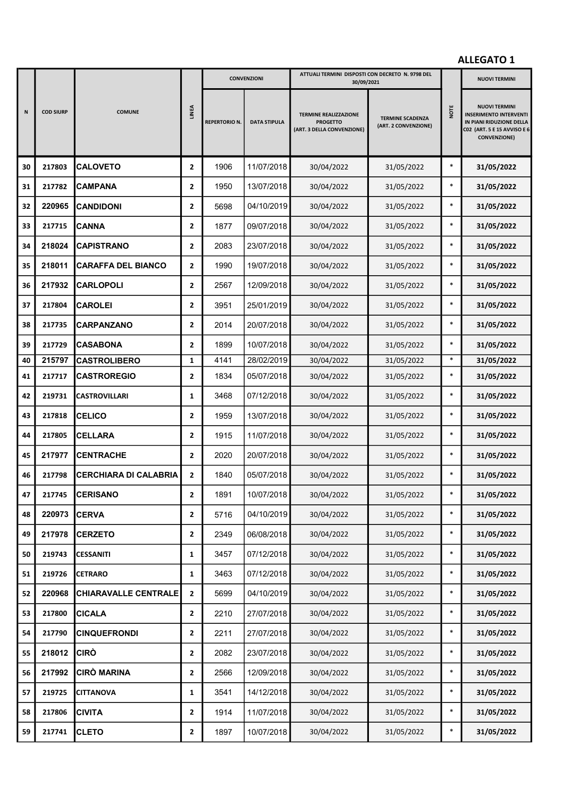|    |                  |                              |                | <b>CONVENZIONI</b>   |                     | ATTUALI TERMINI DISPOSTI CON DECRETO N. 9798 DEL<br>30/09/2021                |                                                 |        | <b>NUOVI TERMINI</b>                                                                                                                    |
|----|------------------|------------------------------|----------------|----------------------|---------------------|-------------------------------------------------------------------------------|-------------------------------------------------|--------|-----------------------------------------------------------------------------------------------------------------------------------------|
| N  | <b>COD SIURP</b> | <b>COMUNE</b>                | <b>LINEA</b>   | <b>REPERTORIO N.</b> | <b>DATA STIPULA</b> | <b>TERMINE REALIZZAZIONE</b><br><b>PROGETTO</b><br>(ART. 3 DELLA CONVENZIONE) | <b>TERMINE SCADENZA</b><br>(ART. 2 CONVENZIONE) | NOTE   | <b>NUOVI TERMINI</b><br><b>INSERIMENTO INTERVENTI</b><br>IN PIANI RIDUZIONE DELLA<br>C02 (ART. 5 E 15 AVVISO E 6<br><b>CONVENZIONE)</b> |
| 30 | 217803           | <b>CALOVETO</b>              | $\mathbf{2}$   | 1906                 | 11/07/2018          | 30/04/2022                                                                    | 31/05/2022                                      | $\ast$ | 31/05/2022                                                                                                                              |
| 31 | 217782           | <b>CAMPANA</b>               | $\mathbf{2}$   | 1950                 | 13/07/2018          | 30/04/2022                                                                    | 31/05/2022                                      | $\ast$ | 31/05/2022                                                                                                                              |
| 32 | 220965           | <b>CANDIDONI</b>             | 2              | 5698                 | 04/10/2019          | 30/04/2022                                                                    | 31/05/2022                                      | $\ast$ | 31/05/2022                                                                                                                              |
| 33 | 217715           | <b>CANNA</b>                 | $\overline{2}$ | 1877                 | 09/07/2018          | 30/04/2022                                                                    | 31/05/2022                                      | $\ast$ | 31/05/2022                                                                                                                              |
| 34 | 218024           | <b>CAPISTRANO</b>            | $\mathbf{2}$   | 2083                 | 23/07/2018          | 30/04/2022                                                                    | 31/05/2022                                      | $\ast$ | 31/05/2022                                                                                                                              |
| 35 | 218011           | <b>CARAFFA DEL BIANCO</b>    | $\overline{2}$ | 1990                 | 19/07/2018          | 30/04/2022                                                                    | 31/05/2022                                      | $\ast$ | 31/05/2022                                                                                                                              |
| 36 | 217932           | <b>CARLOPOLI</b>             | $\mathbf{2}$   | 2567                 | 12/09/2018          | 30/04/2022                                                                    | 31/05/2022                                      | $\ast$ | 31/05/2022                                                                                                                              |
| 37 | 217804           | <b>CAROLEI</b>               | $\overline{2}$ | 3951                 | 25/01/2019          | 30/04/2022                                                                    | 31/05/2022                                      | $\ast$ | 31/05/2022                                                                                                                              |
| 38 | 217735           | <b>CARPANZANO</b>            | $\mathbf{2}$   | 2014                 | 20/07/2018          | 30/04/2022                                                                    | 31/05/2022                                      | $\ast$ | 31/05/2022                                                                                                                              |
| 39 | 217729           | <b>CASABONA</b>              | $\mathbf{2}$   | 1899                 | 10/07/2018          | 30/04/2022                                                                    | 31/05/2022                                      | $\ast$ | 31/05/2022                                                                                                                              |
| 40 | 215797           | <b>CASTROLIBERO</b>          | $\mathbf{1}$   | 4141                 | 28/02/2019          | 30/04/2022                                                                    | 31/05/2022                                      | $\ast$ | 31/05/2022                                                                                                                              |
| 41 | 217717           | <b>CASTROREGIO</b>           | $\mathbf{2}$   | 1834                 | 05/07/2018          | 30/04/2022                                                                    | 31/05/2022                                      | $\ast$ | 31/05/2022                                                                                                                              |
| 42 | 219731           | <b>CASTROVILLARI</b>         | 1              | 3468                 | 07/12/2018          | 30/04/2022                                                                    | 31/05/2022                                      | $\ast$ | 31/05/2022                                                                                                                              |
| 43 | 217818           | <b>CELICO</b>                | $\mathbf{2}$   | 1959                 | 13/07/2018          | 30/04/2022                                                                    | 31/05/2022                                      | $\ast$ | 31/05/2022                                                                                                                              |
| 44 | 217805           | <b>CELLARA</b>               | $\mathbf{2}$   | 1915                 | 11/07/2018          | 30/04/2022                                                                    | 31/05/2022                                      | $\ast$ | 31/05/2022                                                                                                                              |
| 45 | 217977           | <b>CENTRACHE</b>             | $\overline{2}$ | 2020                 | 20/07/2018          | 30/04/2022                                                                    | 31/05/2022                                      | $\ast$ | 31/05/2022                                                                                                                              |
| 46 | 217798           | <b>CERCHIARA DI CALABRIA</b> | $\mathbf{2}$   | 1840                 | 05/07/2018          | 30/04/2022                                                                    | 31/05/2022                                      | $\ast$ | 31/05/2022                                                                                                                              |
| 47 | 217745           | <b>CERISANO</b>              | 2              | 1891                 | 10/07/2018          | 30/04/2022                                                                    | 31/05/2022                                      |        | 31/05/2022                                                                                                                              |
| 48 | 220973           | <b>CERVA</b>                 | $\mathbf{2}$   | 5716                 | 04/10/2019          | 30/04/2022                                                                    | 31/05/2022                                      | $\ast$ | 31/05/2022                                                                                                                              |
| 49 | 217978           | <b>CERZETO</b>               | $\overline{2}$ | 2349                 | 06/08/2018          | 30/04/2022                                                                    | 31/05/2022                                      | $\ast$ | 31/05/2022                                                                                                                              |
| 50 | 219743           | <b>CESSANITI</b>             | $\mathbf{1}$   | 3457                 | 07/12/2018          | 30/04/2022                                                                    | 31/05/2022                                      | $\ast$ | 31/05/2022                                                                                                                              |
| 51 | 219726           | <b>CETRARO</b>               | $\mathbf{1}$   | 3463                 | 07/12/2018          | 30/04/2022                                                                    | 31/05/2022                                      | $\ast$ | 31/05/2022                                                                                                                              |
| 52 | 220968           | <b>CHIARAVALLE CENTRALE</b>  | $\mathbf{2}$   | 5699                 | 04/10/2019          | 30/04/2022                                                                    | 31/05/2022                                      | $\ast$ | 31/05/2022                                                                                                                              |
| 53 | 217800           | <b>CICALA</b>                | $\mathbf{2}$   | 2210                 | 27/07/2018          | 30/04/2022                                                                    | 31/05/2022                                      | $\ast$ | 31/05/2022                                                                                                                              |
| 54 | 217790           | <b>CINQUEFRONDI</b>          | $\mathbf{2}$   | 2211                 | 27/07/2018          | 30/04/2022                                                                    | 31/05/2022                                      | $\ast$ | 31/05/2022                                                                                                                              |
| 55 | 218012           | <b>CIRÒ</b>                  | $\mathbf{2}$   | 2082                 | 23/07/2018          | 30/04/2022                                                                    | 31/05/2022                                      | $\ast$ | 31/05/2022                                                                                                                              |
| 56 | 217992           | CIRÒ MARINA                  | $\overline{2}$ | 2566                 | 12/09/2018          | 30/04/2022                                                                    | 31/05/2022                                      | $\ast$ | 31/05/2022                                                                                                                              |
| 57 | 219725           | <b>CITTANOVA</b>             | $\mathbf{1}$   | 3541                 | 14/12/2018          | 30/04/2022                                                                    | 31/05/2022                                      | $\ast$ | 31/05/2022                                                                                                                              |
| 58 | 217806           | <b>CIVITA</b>                | $\mathbf{2}$   | 1914                 | 11/07/2018          | 30/04/2022                                                                    | 31/05/2022                                      | $\ast$ | 31/05/2022                                                                                                                              |
| 59 | 217741           | <b>CLETO</b>                 | $\mathbf{2}$   | 1897                 | 10/07/2018          | 30/04/2022                                                                    | 31/05/2022                                      | $\ast$ | 31/05/2022                                                                                                                              |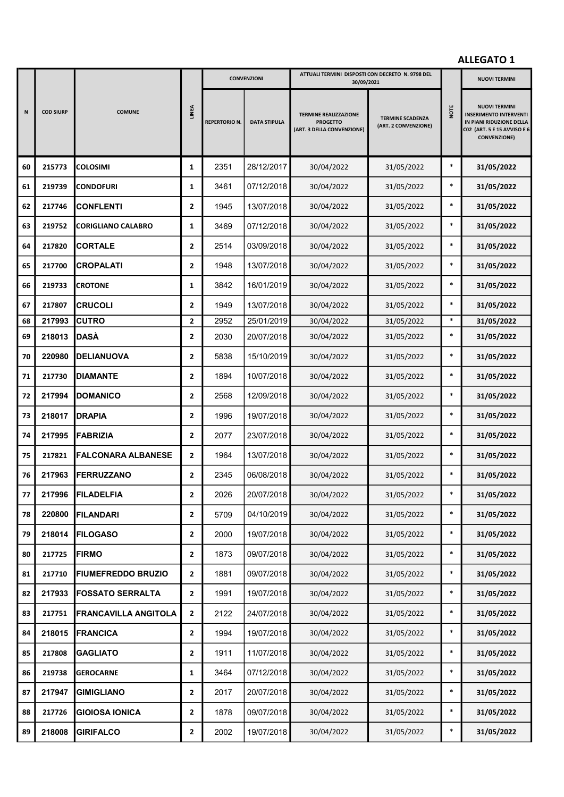|    |                  |                             |                | <b>CONVENZIONI</b> |                     | ATTUALI TERMINI DISPOSTI CON DECRETO N. 9798 DEL<br>30/09/2021                |                                                 |        | <b>NUOVI TERMINI</b>                                                                                                                    |
|----|------------------|-----------------------------|----------------|--------------------|---------------------|-------------------------------------------------------------------------------|-------------------------------------------------|--------|-----------------------------------------------------------------------------------------------------------------------------------------|
| N  | <b>COD SIURP</b> | <b>COMUNE</b>               | LINEA          | REPERTORIO N.      | <b>DATA STIPULA</b> | <b>TERMINE REALIZZAZIONE</b><br><b>PROGETTO</b><br>(ART. 3 DELLA CONVENZIONE) | <b>TERMINE SCADENZA</b><br>(ART. 2 CONVENZIONE) | NOTE   | <b>NUOVI TERMINI</b><br><b>INSERIMENTO INTERVENTI</b><br>IN PIANI RIDUZIONE DELLA<br>C02 (ART. 5 E 15 AVVISO E 6<br><b>CONVENZIONE)</b> |
| 60 | 215773           | <b>COLOSIMI</b>             | $\mathbf{1}$   | 2351               | 28/12/2017          | 30/04/2022                                                                    | 31/05/2022                                      | $\ast$ | 31/05/2022                                                                                                                              |
| 61 | 219739           | <b>CONDOFURI</b>            | 1              | 3461               | 07/12/2018          | 30/04/2022                                                                    | 31/05/2022                                      | $\ast$ | 31/05/2022                                                                                                                              |
| 62 | 217746           | <b>CONFLENTI</b>            | 2              | 1945               | 13/07/2018          | 30/04/2022                                                                    | 31/05/2022                                      | $\ast$ | 31/05/2022                                                                                                                              |
| 63 | 219752           | <b>CORIGLIANO CALABRO</b>   | 1              | 3469               | 07/12/2018          | 30/04/2022                                                                    | 31/05/2022                                      | $\ast$ | 31/05/2022                                                                                                                              |
| 64 | 217820           | <b>CORTALE</b>              | 2              | 2514               | 03/09/2018          | 30/04/2022                                                                    | 31/05/2022                                      | $\ast$ | 31/05/2022                                                                                                                              |
| 65 | 217700           | <b>CROPALATI</b>            | 2              | 1948               | 13/07/2018          | 30/04/2022                                                                    | 31/05/2022                                      | $\ast$ | 31/05/2022                                                                                                                              |
| 66 | 219733           | <b>CROTONE</b>              | 1              | 3842               | 16/01/2019          | 30/04/2022                                                                    | 31/05/2022                                      | $\ast$ | 31/05/2022                                                                                                                              |
| 67 | 217807           | <b>CRUCOLI</b>              | $\mathbf{2}$   | 1949               | 13/07/2018          | 30/04/2022                                                                    | 31/05/2022                                      | $\ast$ | 31/05/2022                                                                                                                              |
| 68 | 217993           | <b>CUTRO</b>                | $\mathbf{2}$   | 2952               | 25/01/2019          | 30/04/2022                                                                    | 31/05/2022                                      | $\ast$ | 31/05/2022                                                                                                                              |
| 69 | 218013           | IDASÀ                       | 2              | 2030               | 20/07/2018          | 30/04/2022                                                                    | 31/05/2022                                      | $\ast$ | 31/05/2022                                                                                                                              |
| 70 | 220980           | <b>DELIANUOVA</b>           | 2              | 5838               | 15/10/2019          | 30/04/2022                                                                    | 31/05/2022                                      | $\ast$ | 31/05/2022                                                                                                                              |
| 71 | 217730           | <b>DIAMANTE</b>             | 2              | 1894               | 10/07/2018          | 30/04/2022                                                                    | 31/05/2022                                      | $\ast$ | 31/05/2022                                                                                                                              |
| 72 | 217994           | DOMANICO                    | $\mathbf{2}$   | 2568               | 12/09/2018          | 30/04/2022                                                                    | 31/05/2022                                      | $\ast$ | 31/05/2022                                                                                                                              |
| 73 | 218017           | <b>DRAPIA</b>               | 2              | 1996               | 19/07/2018          | 30/04/2022                                                                    | 31/05/2022                                      | $\ast$ | 31/05/2022                                                                                                                              |
| 74 | 217995           | <b>FABRIZIA</b>             | 2              | 2077               | 23/07/2018          | 30/04/2022                                                                    | 31/05/2022                                      | $\ast$ | 31/05/2022                                                                                                                              |
| 75 | 217821           | <b>FALCONARA ALBANESE</b>   | $\mathbf{2}$   | 1964               | 13/07/2018          | 30/04/2022                                                                    | 31/05/2022                                      | $\ast$ | 31/05/2022                                                                                                                              |
| 76 | 217963           | <b>FERRUZZANO</b>           | $\mathbf{2}$   | 2345               | 06/08/2018          | 30/04/2022                                                                    | 31/05/2022                                      | $\ast$ | 31/05/2022                                                                                                                              |
| 77 | 217996           | FILADELFIA                  | 2              | 2026               | 20/07/2018          | 30/04/2022                                                                    | 31/05/2022                                      |        | 31/05/2022                                                                                                                              |
| 78 | 220800           | <b>FILANDARI</b>            | $\mathbf{2}$   | 5709               | 04/10/2019          | 30/04/2022                                                                    | 31/05/2022                                      | $\ast$ | 31/05/2022                                                                                                                              |
| 79 | 218014           | <b>FILOGASO</b>             | $\mathbf{2}$   | 2000               | 19/07/2018          | 30/04/2022                                                                    | 31/05/2022                                      | $\ast$ | 31/05/2022                                                                                                                              |
| 80 | 217725           | <b>FIRMO</b>                | $\overline{2}$ | 1873               | 09/07/2018          | 30/04/2022                                                                    | 31/05/2022                                      | $\ast$ | 31/05/2022                                                                                                                              |
| 81 | 217710           | <b>FIUMEFREDDO BRUZIO</b>   | $\mathbf{2}$   | 1881               | 09/07/2018          | 30/04/2022                                                                    | 31/05/2022                                      | $\ast$ | 31/05/2022                                                                                                                              |
| 82 | 217933           | <b>FOSSATO SERRALTA</b>     | $\mathbf{2}$   | 1991               | 19/07/2018          | 30/04/2022                                                                    | 31/05/2022                                      | $\ast$ | 31/05/2022                                                                                                                              |
| 83 | 217751           | <b>FRANCAVILLA ANGITOLA</b> | $\mathbf{2}$   | 2122               | 24/07/2018          | 30/04/2022                                                                    | 31/05/2022                                      | $\ast$ | 31/05/2022                                                                                                                              |
| 84 | 218015           | <b>FRANCICA</b>             | $\mathbf{2}$   | 1994               | 19/07/2018          | 30/04/2022                                                                    | 31/05/2022                                      | $\ast$ | 31/05/2022                                                                                                                              |
| 85 | 217808           | <b>GAGLIATO</b>             | $\mathbf{2}$   | 1911               | 11/07/2018          | 30/04/2022                                                                    | 31/05/2022                                      | $\ast$ | 31/05/2022                                                                                                                              |
| 86 | 219738           | <b>GEROCARNE</b>            | $\mathbf{1}$   | 3464               | 07/12/2018          | 30/04/2022                                                                    | 31/05/2022                                      | $\ast$ | 31/05/2022                                                                                                                              |
| 87 | 217947           | <b>GIMIGLIANO</b>           | $\mathbf{2}$   | 2017               | 20/07/2018          | 30/04/2022                                                                    | 31/05/2022                                      | $\ast$ | 31/05/2022                                                                                                                              |
| 88 | 217726           | <b>GIOIOSA IONICA</b>       | $\mathbf{2}$   | 1878               | 09/07/2018          | 30/04/2022                                                                    | 31/05/2022                                      | $\ast$ | 31/05/2022                                                                                                                              |
| 89 | 218008           | <b>GIRIFALCO</b>            | $\mathbf{2}$   | 2002               | 19/07/2018          | 30/04/2022                                                                    | 31/05/2022                                      | $\ast$ | 31/05/2022                                                                                                                              |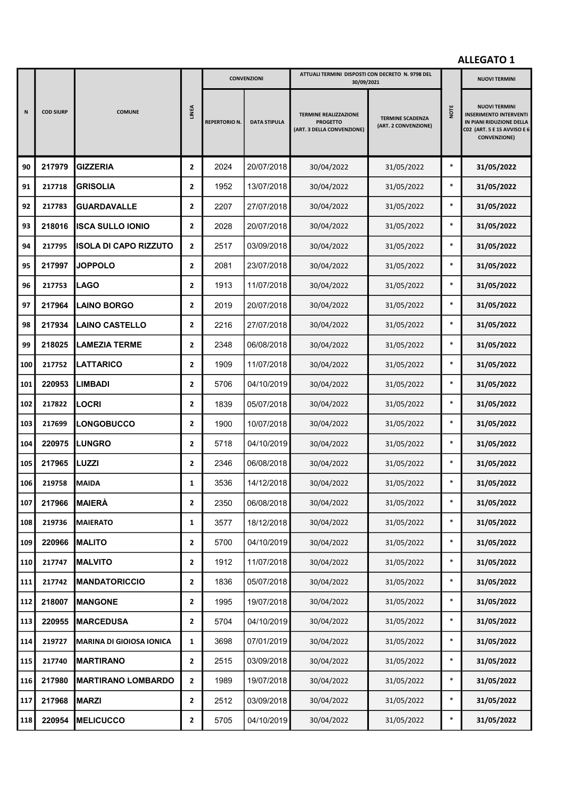|     |                  |                                 |                         | <b>CONVENZIONI</b>   |                     | ATTUALI TERMINI DISPOSTI CON DECRETO N. 9798 DEL<br>30/09/2021                |                                                 |        | <b>NUOVI TERMINI</b>                                                                                                                    |
|-----|------------------|---------------------------------|-------------------------|----------------------|---------------------|-------------------------------------------------------------------------------|-------------------------------------------------|--------|-----------------------------------------------------------------------------------------------------------------------------------------|
| N   | <b>COD SIURP</b> | <b>COMUNE</b>                   | <b>LINEA</b>            | <b>REPERTORIO N.</b> | <b>DATA STIPULA</b> | <b>TERMINE REALIZZAZIONE</b><br><b>PROGETTO</b><br>(ART. 3 DELLA CONVENZIONE) | <b>TERMINE SCADENZA</b><br>(ART. 2 CONVENZIONE) | NOTE   | <b>NUOVI TERMINI</b><br><b>INSERIMENTO INTERVENTI</b><br>IN PIANI RIDUZIONE DELLA<br>C02 (ART. 5 E 15 AVVISO E 6<br><b>CONVENZIONE)</b> |
| 90  | 217979           | <b>GIZZERIA</b>                 | $\overline{2}$          | 2024                 | 20/07/2018          | 30/04/2022                                                                    | 31/05/2022                                      | $\ast$ | 31/05/2022                                                                                                                              |
| 91  | 217718           | <b>GRISOLIA</b>                 | $\overline{2}$          | 1952                 | 13/07/2018          | 30/04/2022                                                                    | 31/05/2022                                      | $\ast$ | 31/05/2022                                                                                                                              |
| 92  | 217783           | <b>GUARDAVALLE</b>              | $\overline{2}$          | 2207                 | 27/07/2018          | 30/04/2022                                                                    | 31/05/2022                                      | $\ast$ | 31/05/2022                                                                                                                              |
| 93  | 218016           | <b>ISCA SULLO IONIO</b>         | $\overline{2}$          | 2028                 | 20/07/2018          | 30/04/2022                                                                    | 31/05/2022                                      | $\ast$ | 31/05/2022                                                                                                                              |
| 94  | 217795           | <b>ISOLA DI CAPO RIZZUTO</b>    | $\overline{2}$          | 2517                 | 03/09/2018          | 30/04/2022                                                                    | 31/05/2022                                      | $\ast$ | 31/05/2022                                                                                                                              |
| 95  | 217997           | <b>JOPPOLO</b>                  | $\overline{2}$          | 2081                 | 23/07/2018          | 30/04/2022                                                                    | 31/05/2022                                      | $\ast$ | 31/05/2022                                                                                                                              |
| 96  | 217753           | <b>LAGO</b>                     | $\overline{2}$          | 1913                 | 11/07/2018          | 30/04/2022                                                                    | 31/05/2022                                      | $\ast$ | 31/05/2022                                                                                                                              |
| 97  | 217964           | <b>LAINO BORGO</b>              | $\overline{2}$          | 2019                 | 20/07/2018          | 30/04/2022                                                                    | 31/05/2022                                      | $\ast$ | 31/05/2022                                                                                                                              |
| 98  | 217934           | <b>LAINO CASTELLO</b>           | $\mathbf{2}$            | 2216                 | 27/07/2018          | 30/04/2022                                                                    | 31/05/2022                                      | $\ast$ | 31/05/2022                                                                                                                              |
| 99  | 218025           | <b>LAMEZIA TERME</b>            | $\overline{2}$          | 2348                 | 06/08/2018          | 30/04/2022                                                                    | 31/05/2022                                      | $\ast$ | 31/05/2022                                                                                                                              |
| 100 | 217752           | <b>LATTARICO</b>                | $\overline{2}$          | 1909                 | 11/07/2018          | 30/04/2022                                                                    | 31/05/2022                                      | $\ast$ | 31/05/2022                                                                                                                              |
| 101 | 220953           | <b>LIMBADI</b>                  | $\overline{2}$          | 5706                 | 04/10/2019          | 30/04/2022                                                                    | 31/05/2022                                      | $\ast$ | 31/05/2022                                                                                                                              |
| 102 | 217822           | <b>LOCRI</b>                    | $\overline{2}$          | 1839                 | 05/07/2018          | 30/04/2022                                                                    | 31/05/2022                                      | $\ast$ | 31/05/2022                                                                                                                              |
| 103 | 217699           | <b>LONGOBUCCO</b>               | $\overline{2}$          | 1900                 | 10/07/2018          | 30/04/2022                                                                    | 31/05/2022                                      | $\ast$ | 31/05/2022                                                                                                                              |
| 104 | 220975           | <b>LUNGRO</b>                   | $\overline{2}$          | 5718                 | 04/10/2019          | 30/04/2022                                                                    | 31/05/2022                                      | $\ast$ | 31/05/2022                                                                                                                              |
| 105 | 217965           | LUZZI                           | $\overline{2}$          | 2346                 | 06/08/2018          | 30/04/2022                                                                    | 31/05/2022                                      | $\ast$ | 31/05/2022                                                                                                                              |
| 106 | 219758           | <b>MAIDA</b>                    | 1                       | 3536                 | 14/12/2018          | 30/04/2022                                                                    | 31/05/2022                                      | $\ast$ | 31/05/2022                                                                                                                              |
| 107 | 217966           | MAIERÀ                          | $\overline{\mathbf{2}}$ | 2350                 | 06/08/2018          | 30/04/2022                                                                    | 31/05/2022                                      | $\ast$ | 31/05/2022                                                                                                                              |
| 108 | 219736           | <b>MAIERATO</b>                 | 1                       | 3577                 | 18/12/2018          | 30/04/2022                                                                    | 31/05/2022                                      | $\ast$ | 31/05/2022                                                                                                                              |
| 109 | 220966           | <b>MALITO</b>                   | $\mathbf{2}$            | 5700                 | 04/10/2019          | 30/04/2022                                                                    | 31/05/2022                                      | $\ast$ | 31/05/2022                                                                                                                              |
| 110 | 217747           | <b>MALVITO</b>                  | $\overline{2}$          | 1912                 | 11/07/2018          | 30/04/2022                                                                    | 31/05/2022                                      | $\ast$ | 31/05/2022                                                                                                                              |
| 111 | 217742           | <b>MANDATORICCIO</b>            | $\mathbf{2}$            | 1836                 | 05/07/2018          | 30/04/2022                                                                    | 31/05/2022                                      | $\ast$ | 31/05/2022                                                                                                                              |
| 112 | 218007           | <b>MANGONE</b>                  | $\mathbf{2}$            | 1995                 | 19/07/2018          | 30/04/2022                                                                    | 31/05/2022                                      | $\ast$ | 31/05/2022                                                                                                                              |
| 113 | 220955           | <b>MARCEDUSA</b>                | $\mathbf{2}$            | 5704                 | 04/10/2019          | 30/04/2022                                                                    | 31/05/2022                                      | $\ast$ | 31/05/2022                                                                                                                              |
| 114 | 219727           | <b>MARINA DI GIOIOSA IONICA</b> | $\mathbf{1}$            | 3698                 | 07/01/2019          | 30/04/2022                                                                    | 31/05/2022                                      | $\ast$ | 31/05/2022                                                                                                                              |
| 115 | 217740           | <b>MARTIRANO</b>                | $\mathbf{2}$            | 2515                 | 03/09/2018          | 30/04/2022                                                                    | 31/05/2022                                      | $\ast$ | 31/05/2022                                                                                                                              |
| 116 | 217980           | <b>MARTIRANO LOMBARDO</b>       | $\mathbf{2}$            | 1989                 | 19/07/2018          | 30/04/2022                                                                    | 31/05/2022                                      | $\ast$ | 31/05/2022                                                                                                                              |
| 117 | 217968           | <b>MARZI</b>                    | $\mathbf{2}$            | 2512                 | 03/09/2018          | 30/04/2022                                                                    | 31/05/2022                                      | $\ast$ | 31/05/2022                                                                                                                              |
| 118 | 220954           | <b>MELICUCCO</b>                | $\mathbf{2}$            | 5705                 | 04/10/2019          | 30/04/2022                                                                    | 31/05/2022                                      | $\ast$ | 31/05/2022                                                                                                                              |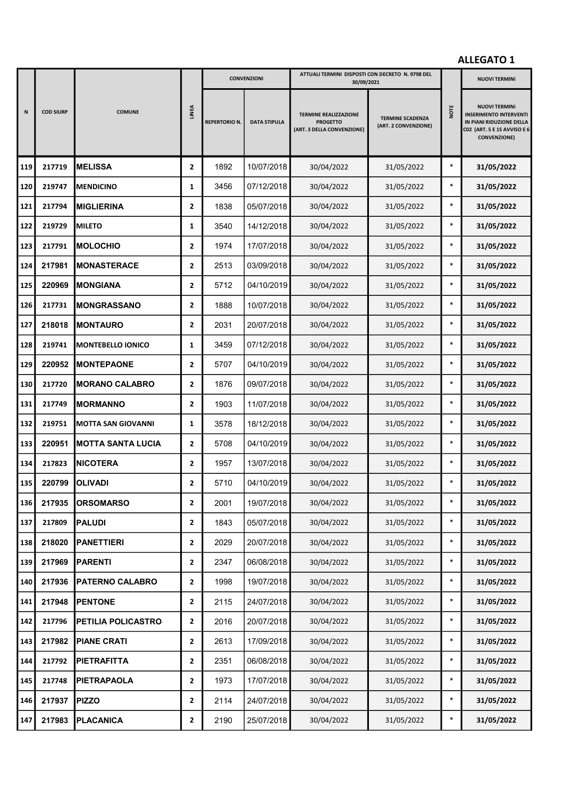|     |                  | <b>COMUNE</b>             |                | <b>CONVENZIONI</b>   |                     | ATTUALI TERMINI DISPOSTI CON DECRETO N. 9798 DEL<br>30/09/2021                |                                                 |        | <b>NUOVI TERMINI</b>                                                                                                                    |
|-----|------------------|---------------------------|----------------|----------------------|---------------------|-------------------------------------------------------------------------------|-------------------------------------------------|--------|-----------------------------------------------------------------------------------------------------------------------------------------|
| N   | <b>COD SIURP</b> |                           | <b>LINEA</b>   | <b>REPERTORIO N.</b> | <b>DATA STIPULA</b> | <b>TERMINE REALIZZAZIONE</b><br><b>PROGETTO</b><br>(ART. 3 DELLA CONVENZIONE) | <b>TERMINE SCADENZA</b><br>(ART. 2 CONVENZIONE) | NOTE   | <b>NUOVI TERMINI</b><br><b>INSERIMENTO INTERVENTI</b><br>IN PIANI RIDUZIONE DELLA<br>C02 (ART. 5 E 15 AVVISO E 6<br><b>CONVENZIONE)</b> |
| 119 | 217719           | <b>MELISSA</b>            | $\overline{2}$ | 1892                 | 10/07/2018          | 30/04/2022                                                                    | 31/05/2022                                      | $\ast$ | 31/05/2022                                                                                                                              |
| 120 | 219747           | <b>MENDICINO</b>          | $\mathbf{1}$   | 3456                 | 07/12/2018          | 30/04/2022                                                                    | 31/05/2022                                      | $\ast$ | 31/05/2022                                                                                                                              |
| 121 | 217794           | <b>MIGLIERINA</b>         | $\overline{2}$ | 1838                 | 05/07/2018          | 30/04/2022                                                                    | 31/05/2022                                      | $\ast$ | 31/05/2022                                                                                                                              |
| 122 | 219729           | <b>MILETO</b>             | 1              | 3540                 | 14/12/2018          | 30/04/2022                                                                    | 31/05/2022                                      | $\ast$ | 31/05/2022                                                                                                                              |
| 123 | 217791           | <b>MOLOCHIO</b>           | $\overline{2}$ | 1974                 | 17/07/2018          | 30/04/2022                                                                    | 31/05/2022                                      | $\ast$ | 31/05/2022                                                                                                                              |
| 124 | 217981           | <b>MONASTERACE</b>        | $\mathbf{2}$   | 2513                 | 03/09/2018          | 30/04/2022                                                                    | 31/05/2022                                      | $\ast$ | 31/05/2022                                                                                                                              |
| 125 | 220969           | <b>MONGIANA</b>           | $\overline{2}$ | 5712                 | 04/10/2019          | 30/04/2022                                                                    | 31/05/2022                                      | $\ast$ | 31/05/2022                                                                                                                              |
| 126 | 217731           | <b>MONGRASSANO</b>        | $\overline{2}$ | 1888                 | 10/07/2018          | 30/04/2022                                                                    | 31/05/2022                                      | $\ast$ | 31/05/2022                                                                                                                              |
| 127 | 218018           | <b>IMONTAURO</b>          | $\overline{2}$ | 2031                 | 20/07/2018          | 30/04/2022                                                                    | 31/05/2022                                      | $\ast$ | 31/05/2022                                                                                                                              |
| 128 | 219741           | <b>MONTEBELLO IONICO</b>  | 1              | 3459                 | 07/12/2018          | 30/04/2022                                                                    | 31/05/2022                                      | $\ast$ | 31/05/2022                                                                                                                              |
| 129 | 220952           | <b>MONTEPAONE</b>         | $\overline{2}$ | 5707                 | 04/10/2019          | 30/04/2022                                                                    | 31/05/2022                                      | $\ast$ | 31/05/2022                                                                                                                              |
| 130 | 217720           | <b>MORANO CALABRO</b>     | $\overline{2}$ | 1876                 | 09/07/2018          | 30/04/2022                                                                    | 31/05/2022                                      | $\ast$ | 31/05/2022                                                                                                                              |
| 131 | 217749           | <b>MORMANNO</b>           | $\overline{2}$ | 1903                 | 11/07/2018          | 30/04/2022                                                                    | 31/05/2022                                      | $\ast$ | 31/05/2022                                                                                                                              |
| 132 | 219751           | <b>MOTTA SAN GIOVANNI</b> | 1              | 3578                 | 18/12/2018          | 30/04/2022                                                                    | 31/05/2022                                      | $\ast$ | 31/05/2022                                                                                                                              |
| 133 | 220951           | <b>IMOTTA SANTA LUCIA</b> | $\overline{2}$ | 5708                 | 04/10/2019          | 30/04/2022                                                                    | 31/05/2022                                      | $\ast$ | 31/05/2022                                                                                                                              |
| 134 | 217823           | <b>NICOTERA</b>           | $\overline{2}$ | 1957                 | 13/07/2018          | 30/04/2022                                                                    | 31/05/2022                                      | $\ast$ | 31/05/2022                                                                                                                              |
| 135 | 220799           | <b>OLIVADI</b>            | 2              | 5710                 | 04/10/2019          | 30/04/2022                                                                    | 31/05/2022                                      | $\ast$ | 31/05/2022                                                                                                                              |
| 136 | 217935           | <b>ORSOMARSO</b>          | 2              | 2001                 | 19/07/2018          | 30/04/2022                                                                    | 31/05/2022                                      | $\ast$ | 31/05/2022                                                                                                                              |
| 137 | 217809           | <b>PALUDI</b>             | $\mathbf{2}$   | 1843                 | 05/07/2018          | 30/04/2022                                                                    | 31/05/2022                                      | $\ast$ | 31/05/2022                                                                                                                              |
| 138 | 218020           | <b>PANETTIERI</b>         | $\mathbf{2}$   | 2029                 | 20/07/2018          | 30/04/2022                                                                    | 31/05/2022                                      | $\ast$ | 31/05/2022                                                                                                                              |
| 139 | 217969           | <b>PARENTI</b>            | $\mathbf{2}$   | 2347                 | 06/08/2018          | 30/04/2022                                                                    | 31/05/2022                                      | $\ast$ | 31/05/2022                                                                                                                              |
| 140 | 217936           | <b>PATERNO CALABRO</b>    | $\mathbf{2}$   | 1998                 | 19/07/2018          | 30/04/2022                                                                    | 31/05/2022                                      | $\ast$ | 31/05/2022                                                                                                                              |
| 141 | 217948           | <b>PENTONE</b>            | $\overline{2}$ | 2115                 | 24/07/2018          | 30/04/2022                                                                    | 31/05/2022                                      | $\ast$ | 31/05/2022                                                                                                                              |
| 142 | 217796           | PETILIA POLICASTRO        | $\mathbf{2}$   | 2016                 | 20/07/2018          | 30/04/2022                                                                    | 31/05/2022                                      | $\ast$ | 31/05/2022                                                                                                                              |
| 143 | 217982           | <b>PIANE CRATI</b>        | $\mathbf{2}$   | 2613                 | 17/09/2018          | 30/04/2022                                                                    | 31/05/2022                                      | $\ast$ | 31/05/2022                                                                                                                              |
| 144 | 217792           | <b>PIETRAFITTA</b>        | $\mathbf{2}$   | 2351                 | 06/08/2018          | 30/04/2022                                                                    | 31/05/2022                                      | $\ast$ | 31/05/2022                                                                                                                              |
| 145 | 217748           | <b>PIETRAPAOLA</b>        | $\mathbf{2}$   | 1973                 | 17/07/2018          | 30/04/2022                                                                    | 31/05/2022                                      | $\ast$ | 31/05/2022                                                                                                                              |
| 146 | 217937           | <b>PIZZO</b>              | $\mathbf{2}$   | 2114                 | 24/07/2018          | 30/04/2022                                                                    | 31/05/2022                                      | $\ast$ | 31/05/2022                                                                                                                              |
| 147 | 217983           | PLACANICA                 | $\mathbf{2}$   | 2190                 | 25/07/2018          | 30/04/2022                                                                    | 31/05/2022                                      | $\ast$ | 31/05/2022                                                                                                                              |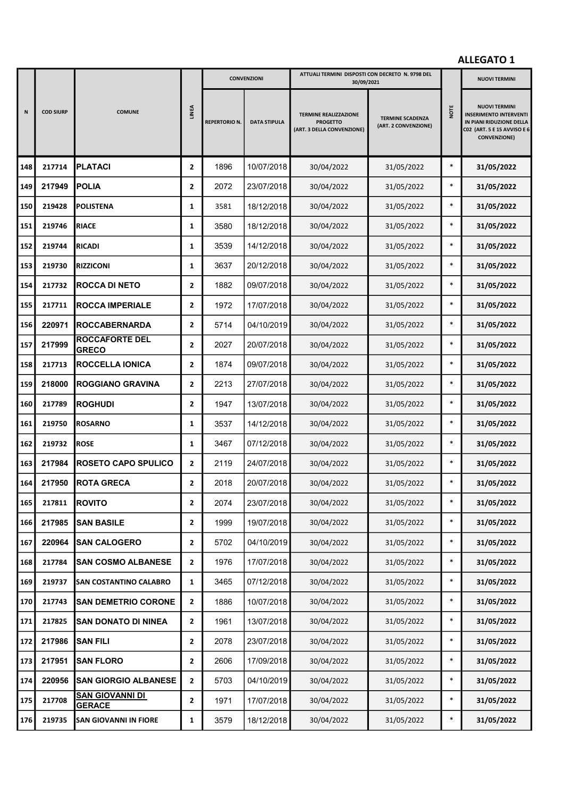|     |                  |                                         |                | <b>CONVENZIONI</b>   |                     | ATTUALI TERMINI DISPOSTI CON DECRETO N. 9798 DEL<br>30/09/2021                |                                                 |        | <b>NUOVI TERMINI</b>                                                                                                                    |
|-----|------------------|-----------------------------------------|----------------|----------------------|---------------------|-------------------------------------------------------------------------------|-------------------------------------------------|--------|-----------------------------------------------------------------------------------------------------------------------------------------|
| N   | <b>COD SIURP</b> | <b>COMUNE</b>                           | <b>LINEA</b>   | <b>REPERTORIO N.</b> | <b>DATA STIPULA</b> | <b>TERMINE REALIZZAZIONE</b><br><b>PROGETTO</b><br>(ART. 3 DELLA CONVENZIONE) | <b>TERMINE SCADENZA</b><br>(ART. 2 CONVENZIONE) | NOTE   | <b>NUOVI TERMINI</b><br><b>INSERIMENTO INTERVENTI</b><br>IN PIANI RIDUZIONE DELLA<br>C02 (ART. 5 E 15 AVVISO E 6<br><b>CONVENZIONE)</b> |
| 148 | 217714           | <b>PLATACI</b>                          | $\overline{2}$ | 1896                 | 10/07/2018          | 30/04/2022                                                                    | 31/05/2022                                      | $\ast$ | 31/05/2022                                                                                                                              |
| 149 | 217949           | <b>POLIA</b>                            | $\overline{2}$ | 2072                 | 23/07/2018          | 30/04/2022                                                                    | 31/05/2022                                      | $\ast$ | 31/05/2022                                                                                                                              |
| 150 | 219428           | <b>POLISTENA</b>                        | 1              | 3581                 | 18/12/2018          | 30/04/2022                                                                    | 31/05/2022                                      | $\ast$ | 31/05/2022                                                                                                                              |
| 151 | 219746           | <b>RIACE</b>                            | 1              | 3580                 | 18/12/2018          | 30/04/2022                                                                    | 31/05/2022                                      | $\ast$ | 31/05/2022                                                                                                                              |
| 152 | 219744           | RICADI                                  | 1              | 3539                 | 14/12/2018          | 30/04/2022                                                                    | 31/05/2022                                      | $\ast$ | 31/05/2022                                                                                                                              |
| 153 | 219730           | <b>RIZZICONI</b>                        | 1              | 3637                 | 20/12/2018          | 30/04/2022                                                                    | 31/05/2022                                      | $\ast$ | 31/05/2022                                                                                                                              |
| 154 | 217732           | <b>ROCCA DI NETO</b>                    | $\overline{2}$ | 1882                 | 09/07/2018          | 30/04/2022                                                                    | 31/05/2022                                      | $\ast$ | 31/05/2022                                                                                                                              |
| 155 | 217711           | <b>ROCCA IMPERIALE</b>                  | $\overline{2}$ | 1972                 | 17/07/2018          | 30/04/2022                                                                    | 31/05/2022                                      | $\ast$ | 31/05/2022                                                                                                                              |
| 156 | 220971           | <b>ROCCABERNARDA</b>                    | 2              | 5714                 | 04/10/2019          | 30/04/2022                                                                    | 31/05/2022                                      | $\ast$ | 31/05/2022                                                                                                                              |
| 157 | 217999           | <b>ROCCAFORTE DEL</b><br><b>GRECO</b>   | $\overline{2}$ | 2027                 | 20/07/2018          | 30/04/2022                                                                    | 31/05/2022                                      | $\ast$ | 31/05/2022                                                                                                                              |
| 158 | 217713           | <b>ROCCELLA IONICA</b>                  | $\mathbf{2}$   | 1874                 | 09/07/2018          | 30/04/2022                                                                    | 31/05/2022                                      | $\ast$ | 31/05/2022                                                                                                                              |
| 159 | 218000           | <b>ROGGIANO GRAVINA</b>                 | $\overline{2}$ | 2213                 | 27/07/2018          | 30/04/2022                                                                    | 31/05/2022                                      | $\ast$ | 31/05/2022                                                                                                                              |
| 160 | 217789           | <b>ROGHUDI</b>                          | $\mathbf{2}$   | 1947                 | 13/07/2018          | 30/04/2022                                                                    | 31/05/2022                                      | $\ast$ | 31/05/2022                                                                                                                              |
| 161 | 219750           | <b>ROSARNO</b>                          | 1              | 3537                 | 14/12/2018          | 30/04/2022                                                                    | 31/05/2022                                      | $\ast$ | 31/05/2022                                                                                                                              |
| 162 | 219732           | <b>ROSE</b>                             | 1              | 3467                 | 07/12/2018          | 30/04/2022                                                                    | 31/05/2022                                      | $\ast$ | 31/05/2022                                                                                                                              |
| 163 | 217984           | <b>ROSETO CAPO SPULICO</b>              | $\mathbf{2}$   | 2119                 | 24/07/2018          | 30/04/2022                                                                    | 31/05/2022                                      | $\ast$ | 31/05/2022                                                                                                                              |
| 164 | 217950           | <b>ROTA GRECA</b>                       | 2              | 2018                 | 20/07/2018          | 30/04/2022                                                                    | 31/05/2022                                      | $\ast$ | 31/05/2022                                                                                                                              |
| 165 | 217811           | <b>ROVITO</b>                           | 2              | 2074                 | 23/07/2018          | 30/04/2022                                                                    | 31/05/2022                                      | $\ast$ | 31/05/2022                                                                                                                              |
| 166 | 217985           | <b>SAN BASILE</b>                       | $\mathbf{2}$   | 1999                 | 19/07/2018          | 30/04/2022                                                                    | 31/05/2022                                      | $\ast$ | 31/05/2022                                                                                                                              |
| 167 | 220964           | <b>SAN CALOGERO</b>                     | $\mathbf{2}$   | 5702                 | 04/10/2019          | 30/04/2022                                                                    | 31/05/2022                                      | $\ast$ | 31/05/2022                                                                                                                              |
| 168 | 217784           | <b>SAN COSMO ALBANESE</b>               | $\mathbf{2}$   | 1976                 | 17/07/2018          | 30/04/2022                                                                    | 31/05/2022                                      | $\ast$ | 31/05/2022                                                                                                                              |
| 169 | 219737           | <b>SAN COSTANTINO CALABRO</b>           | $\mathbf{1}$   | 3465                 | 07/12/2018          | 30/04/2022                                                                    | 31/05/2022                                      | $\ast$ | 31/05/2022                                                                                                                              |
| 170 | 217743           | <b>SAN DEMETRIO CORONE</b>              | $\mathbf{2}$   | 1886                 | 10/07/2018          | 30/04/2022                                                                    | 31/05/2022                                      | $\ast$ | 31/05/2022                                                                                                                              |
| 171 | 217825           | <b>SAN DONATO DI NINEA</b>              | $\overline{2}$ | 1961                 | 13/07/2018          | 30/04/2022                                                                    | 31/05/2022                                      | $\ast$ | 31/05/2022                                                                                                                              |
| 172 | 217986           | <b>SAN FILI</b>                         | $\mathbf{2}$   | 2078                 | 23/07/2018          | 30/04/2022                                                                    | 31/05/2022                                      | $\ast$ | 31/05/2022                                                                                                                              |
| 173 | 217951           | <b>SAN FLORO</b>                        | $\mathbf{2}$   | 2606                 | 17/09/2018          | 30/04/2022                                                                    | 31/05/2022                                      | $\ast$ | 31/05/2022                                                                                                                              |
| 174 | 220956           | <b>SAN GIORGIO ALBANESE</b>             | $\mathbf{2}$   | 5703                 | 04/10/2019          | 30/04/2022                                                                    | 31/05/2022                                      | $\ast$ | 31/05/2022                                                                                                                              |
| 175 | 217708           | <u>SAN GIOVANNI DI</u><br><b>GERACE</b> | $\mathbf{2}$   | 1971                 | 17/07/2018          | 30/04/2022                                                                    | 31/05/2022                                      | $\ast$ | 31/05/2022                                                                                                                              |
| 176 | 219735           | <b>SAN GIOVANNI IN FIORE</b>            | $\mathbf{1}$   | 3579                 | 18/12/2018          | 30/04/2022                                                                    | 31/05/2022                                      | $\ast$ | 31/05/2022                                                                                                                              |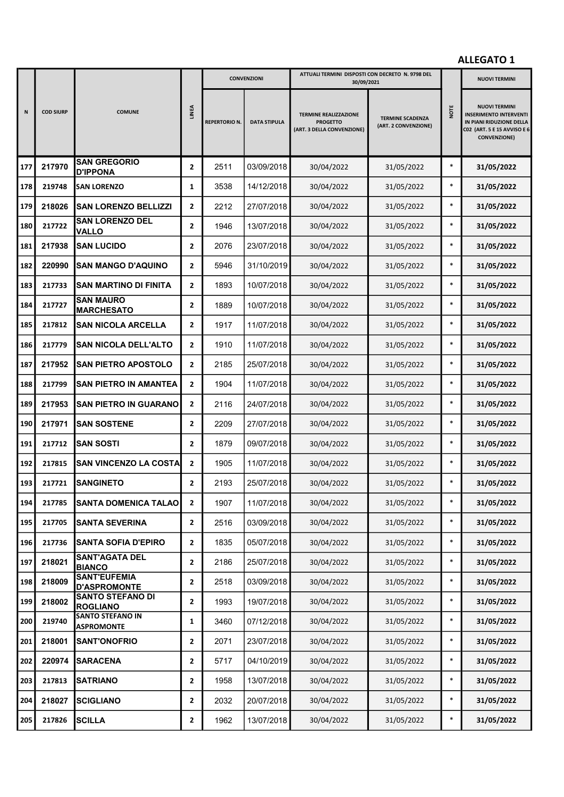|     |                  |                                              |                |                     | <b>CONVENZIONI</b>  | ATTUALI TERMINI DISPOSTI CON DECRETO N. 9798 DEL<br>30/09/2021                |                                                 |        | <b>NUOVI TERMINI</b>                                                                                                                    |
|-----|------------------|----------------------------------------------|----------------|---------------------|---------------------|-------------------------------------------------------------------------------|-------------------------------------------------|--------|-----------------------------------------------------------------------------------------------------------------------------------------|
| N   | <b>COD SIURP</b> | <b>COMUNE</b>                                | <b>LINEA</b>   | <b>REPERTORIO N</b> | <b>DATA STIPULA</b> | <b>TERMINE REALIZZAZIONE</b><br><b>PROGETTO</b><br>(ART. 3 DELLA CONVENZIONE) | <b>TERMINE SCADENZA</b><br>(ART. 2 CONVENZIONE) | NOTE   | <b>NUOVI TERMINI</b><br><b>INSERIMENTO INTERVENTI</b><br>IN PIANI RIDUZIONE DELLA<br>C02 (ART. 5 E 15 AVVISO E 6<br><b>CONVENZIONE)</b> |
| 177 | 217970           | <b>SAN GREGORIO</b><br><b>D'IPPONA</b>       | $\mathbf{2}$   | 2511                | 03/09/2018          | 30/04/2022                                                                    | 31/05/2022                                      | $\ast$ | 31/05/2022                                                                                                                              |
| 178 | 219748           | <b>SAN LORENZO</b>                           | 1              | 3538                | 14/12/2018          | 30/04/2022                                                                    | 31/05/2022                                      | $\ast$ | 31/05/2022                                                                                                                              |
| 179 | 218026           | <b>SAN LORENZO BELLIZZI</b>                  | $\overline{2}$ | 2212                | 27/07/2018          | 30/04/2022                                                                    | 31/05/2022                                      | $\ast$ | 31/05/2022                                                                                                                              |
| 180 | 217722           | <b>SAN LORENZO DEL</b><br><b>VALLO</b>       | $\mathbf{2}$   | 1946                | 13/07/2018          | 30/04/2022                                                                    | 31/05/2022                                      | $\ast$ | 31/05/2022                                                                                                                              |
| 181 | 217938           | <b>SAN LUCIDO</b>                            | $\overline{2}$ | 2076                | 23/07/2018          | 30/04/2022                                                                    | 31/05/2022                                      | $\ast$ | 31/05/2022                                                                                                                              |
| 182 | 220990           | <b>SAN MANGO D'AQUINO</b>                    | $\mathbf{2}$   | 5946                | 31/10/2019          | 30/04/2022                                                                    | 31/05/2022                                      | $\ast$ | 31/05/2022                                                                                                                              |
| 183 | 217733           | <b>SAN MARTINO DI FINITA</b>                 | $\mathbf{2}$   | 1893                | 10/07/2018          | 30/04/2022                                                                    | 31/05/2022                                      | $\ast$ | 31/05/2022                                                                                                                              |
| 184 | 217727           | <b>SAN MAURO</b><br><b>MARCHESATO</b>        | $\mathbf{2}$   | 1889                | 10/07/2018          | 30/04/2022                                                                    | 31/05/2022                                      | $\ast$ | 31/05/2022                                                                                                                              |
| 185 | 217812           | <b>SAN NICOLA ARCELLA</b>                    | $\overline{2}$ | 1917                | 11/07/2018          | 30/04/2022                                                                    | 31/05/2022                                      | $\ast$ | 31/05/2022                                                                                                                              |
| 186 | 217779           | <b>SAN NICOLA DELL'ALTO</b>                  | $\mathbf{2}$   | 1910                | 11/07/2018          | 30/04/2022                                                                    | 31/05/2022                                      | $\ast$ | 31/05/2022                                                                                                                              |
| 187 | 217952           | <b>SAN PIETRO APOSTOLO</b>                   | $\mathbf{2}$   | 2185                | 25/07/2018          | 30/04/2022                                                                    | 31/05/2022                                      | $\ast$ | 31/05/2022                                                                                                                              |
| 188 | 217799           | <b>SAN PIETRO IN AMANTEA</b>                 | $\mathbf{2}$   | 1904                | 11/07/2018          | 30/04/2022                                                                    | 31/05/2022                                      | $\ast$ | 31/05/2022                                                                                                                              |
| 189 | 217953           | <b>SAN PIETRO IN GUARANO</b>                 | $\mathbf{2}$   | 2116                | 24/07/2018          | 30/04/2022                                                                    | 31/05/2022                                      | $\ast$ | 31/05/2022                                                                                                                              |
| 190 | 217971           | <b>SAN SOSTENE</b>                           | $\mathbf{2}$   | 2209                | 27/07/2018          | 30/04/2022                                                                    | 31/05/2022                                      | $\ast$ | 31/05/2022                                                                                                                              |
| 191 | 217712           | <b>ISAN SOSTI</b>                            | $\mathbf{2}$   | 1879                | 09/07/2018          | 30/04/2022                                                                    | 31/05/2022                                      | $\ast$ | 31/05/2022                                                                                                                              |
| 192 | 217815           | SAN VINCENZO LA COSTA                        | $\mathbf{2}$   | 1905                | 11/07/2018          | 30/04/2022                                                                    | 31/05/2022                                      | $\ast$ | 31/05/2022                                                                                                                              |
| 193 | 217721           | <b>SANGINETO</b>                             | $\mathbf{2}$   | 2193                | 25/07/2018          | 30/04/2022                                                                    | 31/05/2022                                      | $\ast$ | 31/05/2022                                                                                                                              |
| 194 | 217785           | SANTA DOMENICA TALAO                         | $\mathbf{2}$   | 1907                | 11/07/2018          | 30/04/2022                                                                    | 31/05/2022                                      | $\ast$ | 31/05/2022                                                                                                                              |
| 195 | 217705           | <b>SANTA SEVERINA</b>                        | $\mathbf{2}$   | 2516                | 03/09/2018          | 30/04/2022                                                                    | 31/05/2022                                      | $\ast$ | 31/05/2022                                                                                                                              |
| 196 | 217736           | <b>SANTA SOFIA D'EPIRO</b>                   | $\mathbf{2}$   | 1835                | 05/07/2018          | 30/04/2022                                                                    | 31/05/2022                                      | $\ast$ | 31/05/2022                                                                                                                              |
| 197 | 218021           | <b>SANT'AGATA DEL</b><br><b>BIANCO</b>       | $\mathbf{2}$   | 2186                | 25/07/2018          | 30/04/2022                                                                    | 31/05/2022                                      | $\ast$ | 31/05/2022                                                                                                                              |
| 198 | 218009           | <b>SANT'EUFEMIA</b><br><b>D'ASPROMONTE</b>   | $\mathbf{2}$   | 2518                | 03/09/2018          | 30/04/2022                                                                    | 31/05/2022                                      | $\ast$ | 31/05/2022                                                                                                                              |
| 199 | 218002           | <b>SANTO STEFANO DI</b><br><b>ROGLIANO</b>   | $\mathbf{2}$   | 1993                | 19/07/2018          | 30/04/2022                                                                    | 31/05/2022                                      | $\ast$ | 31/05/2022                                                                                                                              |
| 200 | 219740           | <b>SANTO STEFANO IN</b><br><b>ASPROMONTE</b> | 1              | 3460                | 07/12/2018          | 30/04/2022                                                                    | 31/05/2022                                      | $\ast$ | 31/05/2022                                                                                                                              |
| 201 | 218001           | <b>SANT'ONOFRIO</b>                          | $\mathbf{2}$   | 2071                | 23/07/2018          | 30/04/2022                                                                    | 31/05/2022                                      | $\ast$ | 31/05/2022                                                                                                                              |
| 202 | 220974           | <b>SARACENA</b>                              | $\mathbf{2}$   | 5717                | 04/10/2019          | 30/04/2022                                                                    | 31/05/2022                                      | $\ast$ | 31/05/2022                                                                                                                              |
| 203 | 217813           | <b>SATRIANO</b>                              | $\mathbf{2}$   | 1958                | 13/07/2018          | 30/04/2022                                                                    | 31/05/2022                                      | $\ast$ | 31/05/2022                                                                                                                              |
| 204 | 218027           | <b>SCIGLIANO</b>                             | $\mathbf{2}$   | 2032                | 20/07/2018          | 30/04/2022                                                                    | 31/05/2022                                      | $\ast$ | 31/05/2022                                                                                                                              |
| 205 | 217826           | <b>SCILLA</b>                                | $\mathbf{2}$   | 1962                | 13/07/2018          | 30/04/2022                                                                    | 31/05/2022                                      | $\ast$ | 31/05/2022                                                                                                                              |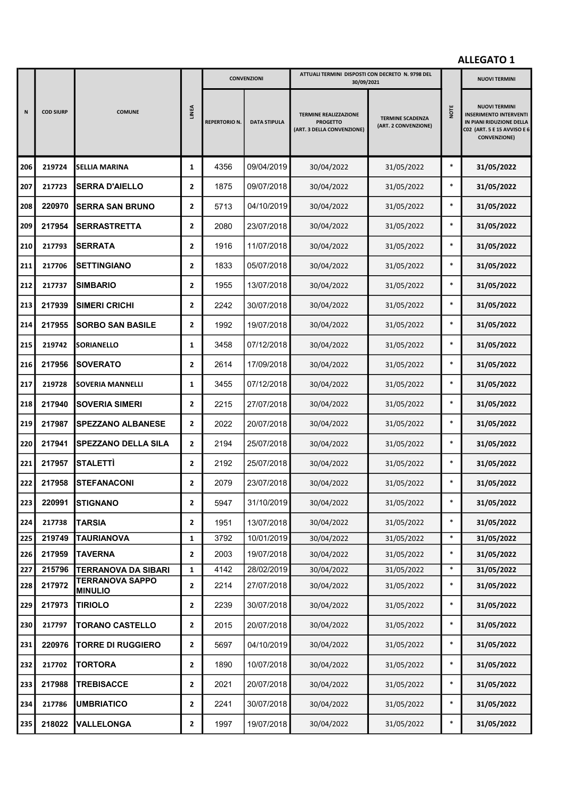|     |                  |                                               |                | <b>CONVENZIONI</b>   |                     | ATTUALI TERMINI DISPOSTI CON DECRETO N. 9798 DEL<br>30/09/2021                |                                                 |        | <b>NUOVI TERMINI</b>                                                                                                                    |
|-----|------------------|-----------------------------------------------|----------------|----------------------|---------------------|-------------------------------------------------------------------------------|-------------------------------------------------|--------|-----------------------------------------------------------------------------------------------------------------------------------------|
| N   | <b>COD SIURP</b> | <b>COMUNE</b>                                 | <b>LINEA</b>   | <b>REPERTORIO N.</b> | <b>DATA STIPULA</b> | <b>TERMINE REALIZZAZIONE</b><br><b>PROGETTO</b><br>(ART. 3 DELLA CONVENZIONE) | <b>TERMINE SCADENZA</b><br>(ART. 2 CONVENZIONE) | NOTE   | <b>NUOVI TERMINI</b><br><b>INSERIMENTO INTERVENTI</b><br>IN PIANI RIDUZIONE DELLA<br>C02 (ART. 5 E 15 AVVISO E 6<br><b>CONVENZIONE)</b> |
| 206 | 219724           | <b>SELLIA MARINA</b>                          | 1              | 4356                 | 09/04/2019          | 30/04/2022                                                                    | 31/05/2022                                      | $\ast$ | 31/05/2022                                                                                                                              |
| 207 | 217723           | <b>SERRA D'AIELLO</b>                         | $\overline{2}$ | 1875                 | 09/07/2018          | 30/04/2022                                                                    | 31/05/2022                                      | $\ast$ | 31/05/2022                                                                                                                              |
| 208 | 220970           | <b>SERRA SAN BRUNO</b>                        | $\overline{2}$ | 5713                 | 04/10/2019          | 30/04/2022                                                                    | 31/05/2022                                      | $\ast$ | 31/05/2022                                                                                                                              |
| 209 | 217954           | <b>SERRASTRETTA</b>                           | $\overline{2}$ | 2080                 | 23/07/2018          | 30/04/2022                                                                    | 31/05/2022                                      | $\ast$ | 31/05/2022                                                                                                                              |
| 210 | 217793           | <b>SERRATA</b>                                | $\mathbf{2}$   | 1916                 | 11/07/2018          | 30/04/2022                                                                    | 31/05/2022                                      | $\ast$ | 31/05/2022                                                                                                                              |
| 211 | 217706           | <b>SETTINGIANO</b>                            | $\mathbf{2}$   | 1833                 | 05/07/2018          | 30/04/2022                                                                    | 31/05/2022                                      | $\ast$ | 31/05/2022                                                                                                                              |
| 212 | 217737           | <b>SIMBARIO</b>                               | $\overline{2}$ | 1955                 | 13/07/2018          | 30/04/2022                                                                    | 31/05/2022                                      | $\ast$ | 31/05/2022                                                                                                                              |
| 213 | 217939           | <b>SIMERI CRICHI</b>                          | $\overline{2}$ | 2242                 | 30/07/2018          | 30/04/2022                                                                    | 31/05/2022                                      | $\ast$ | 31/05/2022                                                                                                                              |
| 214 | 217955           | <b>SORBO SAN BASILE</b>                       | $\mathbf{2}$   | 1992                 | 19/07/2018          | 30/04/2022                                                                    | 31/05/2022                                      | $\ast$ | 31/05/2022                                                                                                                              |
| 215 | 219742           | <b>SORIANELLO</b>                             | 1              | 3458                 | 07/12/2018          | 30/04/2022                                                                    | 31/05/2022                                      | $\ast$ | 31/05/2022                                                                                                                              |
| 216 | 217956           | <b>SOVERATO</b>                               | $\mathbf{2}$   | 2614                 | 17/09/2018          | 30/04/2022                                                                    | 31/05/2022                                      | $\ast$ | 31/05/2022                                                                                                                              |
| 217 | 219728           | <b>SOVERIA MANNELLI</b>                       | 1              | 3455                 | 07/12/2018          | 30/04/2022                                                                    | 31/05/2022                                      | $\ast$ | 31/05/2022                                                                                                                              |
| 218 | 217940           | <b>SOVERIA SIMERI</b>                         | $\mathbf{2}$   | 2215                 | 27/07/2018          | 30/04/2022                                                                    | 31/05/2022                                      | $\ast$ | 31/05/2022                                                                                                                              |
| 219 | 217987           | <b>SPEZZANO ALBANESE</b>                      | $\overline{2}$ | 2022                 | 20/07/2018          | 30/04/2022                                                                    | 31/05/2022                                      | $\ast$ | 31/05/2022                                                                                                                              |
| 220 | 217941           | <b>SPEZZANO DELLA SILA</b>                    | $\overline{2}$ | 2194                 | 25/07/2018          | 30/04/2022                                                                    | 31/05/2022                                      | $\ast$ | 31/05/2022                                                                                                                              |
| 221 | 217957           | STALETTÌ                                      | $\overline{2}$ | 2192                 | 25/07/2018          | 30/04/2022                                                                    | 31/05/2022                                      | $\ast$ | 31/05/2022                                                                                                                              |
| 222 | 217958           | <b>ISTEFANACONI</b>                           | 2              | 2079                 | 23/07/2018          | 30/04/2022                                                                    | 31/05/2022                                      | $\ast$ | 31/05/2022                                                                                                                              |
| 223 | 220991           | <b>STIGNANO</b>                               | 2              | 5947                 | 31/10/2019          | 30/04/2022                                                                    | 31/05/2022                                      | $\ast$ | 31/05/2022                                                                                                                              |
| 224 | 217738           | <b>TARSIA</b>                                 | 2              | 1951                 | 13/07/2018          | 30/04/2022                                                                    | 31/05/2022                                      | $\ast$ | 31/05/2022                                                                                                                              |
| 225 | 219749           | <b>TAURIANOVA</b>                             | $\mathbf{1}$   | 3792                 | 10/01/2019          | 30/04/2022                                                                    | 31/05/2022                                      | $\ast$ | 31/05/2022                                                                                                                              |
| 226 | 217959           | <b>TAVERNA</b>                                | $\overline{2}$ | 2003                 | 19/07/2018          | 30/04/2022                                                                    | 31/05/2022                                      | $\ast$ | 31/05/2022                                                                                                                              |
| 227 | 215796           | TERRANOVA DA SIBARI<br><b>TERRANOVA SAPPO</b> | $\mathbf{1}$   | 4142                 | 28/02/2019          | 30/04/2022                                                                    | 31/05/2022                                      | $\ast$ | 31/05/2022                                                                                                                              |
| 228 | 217972           | <b>MINULIO</b>                                | $\overline{2}$ | 2214                 | 27/07/2018          | 30/04/2022                                                                    | 31/05/2022                                      | $\ast$ | 31/05/2022                                                                                                                              |
| 229 | 217973           | <b>TIRIOLO</b>                                | $\mathbf{2}$   | 2239                 | 30/07/2018          | 30/04/2022                                                                    | 31/05/2022                                      | $\ast$ | 31/05/2022                                                                                                                              |
| 230 | 217797           | <b>TORANO CASTELLO</b>                        | $\mathbf{2}$   | 2015                 | 20/07/2018          | 30/04/2022                                                                    | 31/05/2022                                      | $\ast$ | 31/05/2022                                                                                                                              |
| 231 | 220976           | <b>TORRE DI RUGGIERO</b>                      | $\mathbf{2}$   | 5697                 | 04/10/2019          | 30/04/2022                                                                    | 31/05/2022                                      | $\ast$ | 31/05/2022                                                                                                                              |
| 232 | 217702           | <b>TORTORA</b>                                | $\overline{2}$ | 1890                 | 10/07/2018          | 30/04/2022                                                                    | 31/05/2022                                      | $\ast$ | 31/05/2022                                                                                                                              |
| 233 | 217988           | <b>TREBISACCE</b>                             | $\mathbf{2}$   | 2021                 | 20/07/2018          | 30/04/2022                                                                    | 31/05/2022                                      | $\ast$ | 31/05/2022                                                                                                                              |
| 234 | 217786           | <b>UMBRIATICO</b>                             | $\mathbf{2}$   | 2241                 | 30/07/2018          | 30/04/2022                                                                    | 31/05/2022                                      | $\ast$ | 31/05/2022                                                                                                                              |
| 235 | 218022           | <b>VALLELONGA</b>                             | 2              | 1997                 | 19/07/2018          | 30/04/2022                                                                    | 31/05/2022                                      | $\ast$ | 31/05/2022                                                                                                                              |